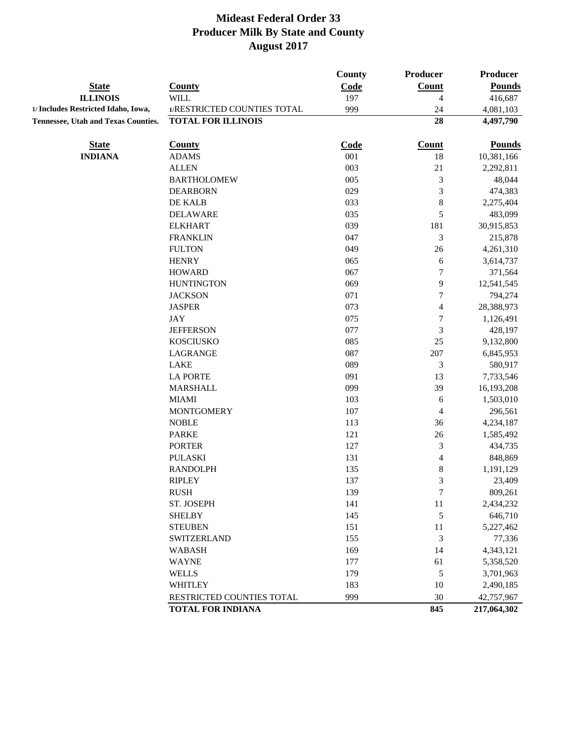| <b>State</b><br><b>County</b><br>Code<br><b>Count</b><br><b>Pounds</b><br><b>ILLINOIS</b><br><b>WILL</b><br>197<br>4<br>416,687<br>1/RESTRICTED COUNTIES TOTAL<br>999<br>24<br>4,081,103<br>28<br><b>TOTAL FOR ILLINOIS</b><br>4,497,790<br>Code<br><b>State</b><br><b>County</b><br><b>Count</b><br><b>Pounds</b><br><b>INDIANA</b><br>18<br><b>ADAMS</b><br>001<br>10,381,166<br>003<br>$21\,$<br><b>ALLEN</b><br>2,292,811<br>005<br>3<br><b>BARTHOLOMEW</b><br>48,044<br>3<br>029<br><b>DEARBORN</b><br>474,383<br>$\,8$<br>DE KALB<br>033<br>2,275,404<br>5<br>035<br><b>DELAWARE</b><br>483,099<br>181<br>039<br><b>ELKHART</b><br>30,915,853<br>047<br>3<br><b>FRANKLIN</b><br>215,878<br>26<br><b>FULTON</b><br>049<br>4,261,310<br><b>HENRY</b><br>065<br>6<br>3,614,737<br>7<br><b>HOWARD</b><br>067<br>371,564<br>9<br>069<br><b>HUNTINGTON</b><br>12,541,545<br>071<br>$\boldsymbol{7}$<br><b>JACKSON</b><br>794,274<br>073<br><b>JASPER</b><br>$\overline{\mathcal{A}}$<br>28,388,973<br>075<br>$\boldsymbol{7}$<br><b>JAY</b><br>1,126,491<br>077<br>3<br><b>JEFFERSON</b><br>428,197<br>085<br>25<br><b>KOSCIUSKO</b><br>9,132,800<br>LAGRANGE<br>087<br>207<br>6,845,953<br><b>LAKE</b><br>089<br>3<br>580,917<br>091<br>13<br><b>LA PORTE</b><br>7,733,546<br><b>MARSHALL</b><br>39<br>099<br>16,193,208<br>103<br><b>MIAMI</b><br>6<br>1,503,010<br>107<br><b>MONTGOMERY</b><br>4<br>296,561<br>36<br><b>NOBLE</b><br>113<br>4,234,187<br>26<br><b>PARKE</b><br>121<br>1,585,492<br>$\mathfrak{Z}$<br><b>PORTER</b><br>127<br>434,735<br>$\overline{\mathbf{4}}$<br><b>PULASKI</b><br>131<br>848,869<br>$\,$ 8 $\,$<br><b>RANDOLPH</b><br>135<br>1,191,129<br>3<br><b>RIPLEY</b><br>137<br>23,409<br><b>RUSH</b><br>7<br>809,261<br>139<br>$11\,$<br>ST. JOSEPH<br>141<br>2,434,232<br><b>SHELBY</b><br>145<br>5<br>646,710<br><b>STEUBEN</b><br>151<br>11<br>5,227,462<br>$\mathfrak{Z}$<br><b>SWITZERLAND</b><br>155<br>77,336<br><b>WABASH</b><br>169<br>14<br>4,343,121<br><b>WAYNE</b><br>177<br>61<br>5,358,520<br>$\sqrt{5}$<br><b>WELLS</b><br>179<br>3,701,963<br>183<br><b>WHITLEY</b><br>10<br>2,490,185<br>$30\,$<br>RESTRICTED COUNTIES TOTAL<br>999<br>42,757,967<br>845<br><b>TOTAL FOR INDIANA</b><br>217,064,302 |                                            | <b>County</b> | <b>Producer</b> | <b>Producer</b> |
|-----------------------------------------------------------------------------------------------------------------------------------------------------------------------------------------------------------------------------------------------------------------------------------------------------------------------------------------------------------------------------------------------------------------------------------------------------------------------------------------------------------------------------------------------------------------------------------------------------------------------------------------------------------------------------------------------------------------------------------------------------------------------------------------------------------------------------------------------------------------------------------------------------------------------------------------------------------------------------------------------------------------------------------------------------------------------------------------------------------------------------------------------------------------------------------------------------------------------------------------------------------------------------------------------------------------------------------------------------------------------------------------------------------------------------------------------------------------------------------------------------------------------------------------------------------------------------------------------------------------------------------------------------------------------------------------------------------------------------------------------------------------------------------------------------------------------------------------------------------------------------------------------------------------------------------------------------------------------------------------------------------------------------------------------------------------------------------------------------------------------------------------------------------------------------------------------------------------------------------------------------|--------------------------------------------|---------------|-----------------|-----------------|
|                                                                                                                                                                                                                                                                                                                                                                                                                                                                                                                                                                                                                                                                                                                                                                                                                                                                                                                                                                                                                                                                                                                                                                                                                                                                                                                                                                                                                                                                                                                                                                                                                                                                                                                                                                                                                                                                                                                                                                                                                                                                                                                                                                                                                                                     |                                            |               |                 |                 |
|                                                                                                                                                                                                                                                                                                                                                                                                                                                                                                                                                                                                                                                                                                                                                                                                                                                                                                                                                                                                                                                                                                                                                                                                                                                                                                                                                                                                                                                                                                                                                                                                                                                                                                                                                                                                                                                                                                                                                                                                                                                                                                                                                                                                                                                     |                                            |               |                 |                 |
|                                                                                                                                                                                                                                                                                                                                                                                                                                                                                                                                                                                                                                                                                                                                                                                                                                                                                                                                                                                                                                                                                                                                                                                                                                                                                                                                                                                                                                                                                                                                                                                                                                                                                                                                                                                                                                                                                                                                                                                                                                                                                                                                                                                                                                                     | 1/ Includes Restricted Idaho, Iowa,        |               |                 |                 |
|                                                                                                                                                                                                                                                                                                                                                                                                                                                                                                                                                                                                                                                                                                                                                                                                                                                                                                                                                                                                                                                                                                                                                                                                                                                                                                                                                                                                                                                                                                                                                                                                                                                                                                                                                                                                                                                                                                                                                                                                                                                                                                                                                                                                                                                     | <b>Tennessee, Utah and Texas Counties.</b> |               |                 |                 |
|                                                                                                                                                                                                                                                                                                                                                                                                                                                                                                                                                                                                                                                                                                                                                                                                                                                                                                                                                                                                                                                                                                                                                                                                                                                                                                                                                                                                                                                                                                                                                                                                                                                                                                                                                                                                                                                                                                                                                                                                                                                                                                                                                                                                                                                     |                                            |               |                 |                 |
|                                                                                                                                                                                                                                                                                                                                                                                                                                                                                                                                                                                                                                                                                                                                                                                                                                                                                                                                                                                                                                                                                                                                                                                                                                                                                                                                                                                                                                                                                                                                                                                                                                                                                                                                                                                                                                                                                                                                                                                                                                                                                                                                                                                                                                                     |                                            |               |                 |                 |
|                                                                                                                                                                                                                                                                                                                                                                                                                                                                                                                                                                                                                                                                                                                                                                                                                                                                                                                                                                                                                                                                                                                                                                                                                                                                                                                                                                                                                                                                                                                                                                                                                                                                                                                                                                                                                                                                                                                                                                                                                                                                                                                                                                                                                                                     |                                            |               |                 |                 |
|                                                                                                                                                                                                                                                                                                                                                                                                                                                                                                                                                                                                                                                                                                                                                                                                                                                                                                                                                                                                                                                                                                                                                                                                                                                                                                                                                                                                                                                                                                                                                                                                                                                                                                                                                                                                                                                                                                                                                                                                                                                                                                                                                                                                                                                     |                                            |               |                 |                 |
|                                                                                                                                                                                                                                                                                                                                                                                                                                                                                                                                                                                                                                                                                                                                                                                                                                                                                                                                                                                                                                                                                                                                                                                                                                                                                                                                                                                                                                                                                                                                                                                                                                                                                                                                                                                                                                                                                                                                                                                                                                                                                                                                                                                                                                                     |                                            |               |                 |                 |
|                                                                                                                                                                                                                                                                                                                                                                                                                                                                                                                                                                                                                                                                                                                                                                                                                                                                                                                                                                                                                                                                                                                                                                                                                                                                                                                                                                                                                                                                                                                                                                                                                                                                                                                                                                                                                                                                                                                                                                                                                                                                                                                                                                                                                                                     |                                            |               |                 |                 |
|                                                                                                                                                                                                                                                                                                                                                                                                                                                                                                                                                                                                                                                                                                                                                                                                                                                                                                                                                                                                                                                                                                                                                                                                                                                                                                                                                                                                                                                                                                                                                                                                                                                                                                                                                                                                                                                                                                                                                                                                                                                                                                                                                                                                                                                     |                                            |               |                 |                 |
|                                                                                                                                                                                                                                                                                                                                                                                                                                                                                                                                                                                                                                                                                                                                                                                                                                                                                                                                                                                                                                                                                                                                                                                                                                                                                                                                                                                                                                                                                                                                                                                                                                                                                                                                                                                                                                                                                                                                                                                                                                                                                                                                                                                                                                                     |                                            |               |                 |                 |
|                                                                                                                                                                                                                                                                                                                                                                                                                                                                                                                                                                                                                                                                                                                                                                                                                                                                                                                                                                                                                                                                                                                                                                                                                                                                                                                                                                                                                                                                                                                                                                                                                                                                                                                                                                                                                                                                                                                                                                                                                                                                                                                                                                                                                                                     |                                            |               |                 |                 |
|                                                                                                                                                                                                                                                                                                                                                                                                                                                                                                                                                                                                                                                                                                                                                                                                                                                                                                                                                                                                                                                                                                                                                                                                                                                                                                                                                                                                                                                                                                                                                                                                                                                                                                                                                                                                                                                                                                                                                                                                                                                                                                                                                                                                                                                     |                                            |               |                 |                 |
|                                                                                                                                                                                                                                                                                                                                                                                                                                                                                                                                                                                                                                                                                                                                                                                                                                                                                                                                                                                                                                                                                                                                                                                                                                                                                                                                                                                                                                                                                                                                                                                                                                                                                                                                                                                                                                                                                                                                                                                                                                                                                                                                                                                                                                                     |                                            |               |                 |                 |
|                                                                                                                                                                                                                                                                                                                                                                                                                                                                                                                                                                                                                                                                                                                                                                                                                                                                                                                                                                                                                                                                                                                                                                                                                                                                                                                                                                                                                                                                                                                                                                                                                                                                                                                                                                                                                                                                                                                                                                                                                                                                                                                                                                                                                                                     |                                            |               |                 |                 |
|                                                                                                                                                                                                                                                                                                                                                                                                                                                                                                                                                                                                                                                                                                                                                                                                                                                                                                                                                                                                                                                                                                                                                                                                                                                                                                                                                                                                                                                                                                                                                                                                                                                                                                                                                                                                                                                                                                                                                                                                                                                                                                                                                                                                                                                     |                                            |               |                 |                 |
|                                                                                                                                                                                                                                                                                                                                                                                                                                                                                                                                                                                                                                                                                                                                                                                                                                                                                                                                                                                                                                                                                                                                                                                                                                                                                                                                                                                                                                                                                                                                                                                                                                                                                                                                                                                                                                                                                                                                                                                                                                                                                                                                                                                                                                                     |                                            |               |                 |                 |
|                                                                                                                                                                                                                                                                                                                                                                                                                                                                                                                                                                                                                                                                                                                                                                                                                                                                                                                                                                                                                                                                                                                                                                                                                                                                                                                                                                                                                                                                                                                                                                                                                                                                                                                                                                                                                                                                                                                                                                                                                                                                                                                                                                                                                                                     |                                            |               |                 |                 |
|                                                                                                                                                                                                                                                                                                                                                                                                                                                                                                                                                                                                                                                                                                                                                                                                                                                                                                                                                                                                                                                                                                                                                                                                                                                                                                                                                                                                                                                                                                                                                                                                                                                                                                                                                                                                                                                                                                                                                                                                                                                                                                                                                                                                                                                     |                                            |               |                 |                 |
|                                                                                                                                                                                                                                                                                                                                                                                                                                                                                                                                                                                                                                                                                                                                                                                                                                                                                                                                                                                                                                                                                                                                                                                                                                                                                                                                                                                                                                                                                                                                                                                                                                                                                                                                                                                                                                                                                                                                                                                                                                                                                                                                                                                                                                                     |                                            |               |                 |                 |
|                                                                                                                                                                                                                                                                                                                                                                                                                                                                                                                                                                                                                                                                                                                                                                                                                                                                                                                                                                                                                                                                                                                                                                                                                                                                                                                                                                                                                                                                                                                                                                                                                                                                                                                                                                                                                                                                                                                                                                                                                                                                                                                                                                                                                                                     |                                            |               |                 |                 |
|                                                                                                                                                                                                                                                                                                                                                                                                                                                                                                                                                                                                                                                                                                                                                                                                                                                                                                                                                                                                                                                                                                                                                                                                                                                                                                                                                                                                                                                                                                                                                                                                                                                                                                                                                                                                                                                                                                                                                                                                                                                                                                                                                                                                                                                     |                                            |               |                 |                 |
|                                                                                                                                                                                                                                                                                                                                                                                                                                                                                                                                                                                                                                                                                                                                                                                                                                                                                                                                                                                                                                                                                                                                                                                                                                                                                                                                                                                                                                                                                                                                                                                                                                                                                                                                                                                                                                                                                                                                                                                                                                                                                                                                                                                                                                                     |                                            |               |                 |                 |
|                                                                                                                                                                                                                                                                                                                                                                                                                                                                                                                                                                                                                                                                                                                                                                                                                                                                                                                                                                                                                                                                                                                                                                                                                                                                                                                                                                                                                                                                                                                                                                                                                                                                                                                                                                                                                                                                                                                                                                                                                                                                                                                                                                                                                                                     |                                            |               |                 |                 |
|                                                                                                                                                                                                                                                                                                                                                                                                                                                                                                                                                                                                                                                                                                                                                                                                                                                                                                                                                                                                                                                                                                                                                                                                                                                                                                                                                                                                                                                                                                                                                                                                                                                                                                                                                                                                                                                                                                                                                                                                                                                                                                                                                                                                                                                     |                                            |               |                 |                 |
|                                                                                                                                                                                                                                                                                                                                                                                                                                                                                                                                                                                                                                                                                                                                                                                                                                                                                                                                                                                                                                                                                                                                                                                                                                                                                                                                                                                                                                                                                                                                                                                                                                                                                                                                                                                                                                                                                                                                                                                                                                                                                                                                                                                                                                                     |                                            |               |                 |                 |
|                                                                                                                                                                                                                                                                                                                                                                                                                                                                                                                                                                                                                                                                                                                                                                                                                                                                                                                                                                                                                                                                                                                                                                                                                                                                                                                                                                                                                                                                                                                                                                                                                                                                                                                                                                                                                                                                                                                                                                                                                                                                                                                                                                                                                                                     |                                            |               |                 |                 |
|                                                                                                                                                                                                                                                                                                                                                                                                                                                                                                                                                                                                                                                                                                                                                                                                                                                                                                                                                                                                                                                                                                                                                                                                                                                                                                                                                                                                                                                                                                                                                                                                                                                                                                                                                                                                                                                                                                                                                                                                                                                                                                                                                                                                                                                     |                                            |               |                 |                 |
|                                                                                                                                                                                                                                                                                                                                                                                                                                                                                                                                                                                                                                                                                                                                                                                                                                                                                                                                                                                                                                                                                                                                                                                                                                                                                                                                                                                                                                                                                                                                                                                                                                                                                                                                                                                                                                                                                                                                                                                                                                                                                                                                                                                                                                                     |                                            |               |                 |                 |
|                                                                                                                                                                                                                                                                                                                                                                                                                                                                                                                                                                                                                                                                                                                                                                                                                                                                                                                                                                                                                                                                                                                                                                                                                                                                                                                                                                                                                                                                                                                                                                                                                                                                                                                                                                                                                                                                                                                                                                                                                                                                                                                                                                                                                                                     |                                            |               |                 |                 |
|                                                                                                                                                                                                                                                                                                                                                                                                                                                                                                                                                                                                                                                                                                                                                                                                                                                                                                                                                                                                                                                                                                                                                                                                                                                                                                                                                                                                                                                                                                                                                                                                                                                                                                                                                                                                                                                                                                                                                                                                                                                                                                                                                                                                                                                     |                                            |               |                 |                 |
|                                                                                                                                                                                                                                                                                                                                                                                                                                                                                                                                                                                                                                                                                                                                                                                                                                                                                                                                                                                                                                                                                                                                                                                                                                                                                                                                                                                                                                                                                                                                                                                                                                                                                                                                                                                                                                                                                                                                                                                                                                                                                                                                                                                                                                                     |                                            |               |                 |                 |
|                                                                                                                                                                                                                                                                                                                                                                                                                                                                                                                                                                                                                                                                                                                                                                                                                                                                                                                                                                                                                                                                                                                                                                                                                                                                                                                                                                                                                                                                                                                                                                                                                                                                                                                                                                                                                                                                                                                                                                                                                                                                                                                                                                                                                                                     |                                            |               |                 |                 |
|                                                                                                                                                                                                                                                                                                                                                                                                                                                                                                                                                                                                                                                                                                                                                                                                                                                                                                                                                                                                                                                                                                                                                                                                                                                                                                                                                                                                                                                                                                                                                                                                                                                                                                                                                                                                                                                                                                                                                                                                                                                                                                                                                                                                                                                     |                                            |               |                 |                 |
|                                                                                                                                                                                                                                                                                                                                                                                                                                                                                                                                                                                                                                                                                                                                                                                                                                                                                                                                                                                                                                                                                                                                                                                                                                                                                                                                                                                                                                                                                                                                                                                                                                                                                                                                                                                                                                                                                                                                                                                                                                                                                                                                                                                                                                                     |                                            |               |                 |                 |
|                                                                                                                                                                                                                                                                                                                                                                                                                                                                                                                                                                                                                                                                                                                                                                                                                                                                                                                                                                                                                                                                                                                                                                                                                                                                                                                                                                                                                                                                                                                                                                                                                                                                                                                                                                                                                                                                                                                                                                                                                                                                                                                                                                                                                                                     |                                            |               |                 |                 |
|                                                                                                                                                                                                                                                                                                                                                                                                                                                                                                                                                                                                                                                                                                                                                                                                                                                                                                                                                                                                                                                                                                                                                                                                                                                                                                                                                                                                                                                                                                                                                                                                                                                                                                                                                                                                                                                                                                                                                                                                                                                                                                                                                                                                                                                     |                                            |               |                 |                 |
|                                                                                                                                                                                                                                                                                                                                                                                                                                                                                                                                                                                                                                                                                                                                                                                                                                                                                                                                                                                                                                                                                                                                                                                                                                                                                                                                                                                                                                                                                                                                                                                                                                                                                                                                                                                                                                                                                                                                                                                                                                                                                                                                                                                                                                                     |                                            |               |                 |                 |
|                                                                                                                                                                                                                                                                                                                                                                                                                                                                                                                                                                                                                                                                                                                                                                                                                                                                                                                                                                                                                                                                                                                                                                                                                                                                                                                                                                                                                                                                                                                                                                                                                                                                                                                                                                                                                                                                                                                                                                                                                                                                                                                                                                                                                                                     |                                            |               |                 |                 |
|                                                                                                                                                                                                                                                                                                                                                                                                                                                                                                                                                                                                                                                                                                                                                                                                                                                                                                                                                                                                                                                                                                                                                                                                                                                                                                                                                                                                                                                                                                                                                                                                                                                                                                                                                                                                                                                                                                                                                                                                                                                                                                                                                                                                                                                     |                                            |               |                 |                 |
|                                                                                                                                                                                                                                                                                                                                                                                                                                                                                                                                                                                                                                                                                                                                                                                                                                                                                                                                                                                                                                                                                                                                                                                                                                                                                                                                                                                                                                                                                                                                                                                                                                                                                                                                                                                                                                                                                                                                                                                                                                                                                                                                                                                                                                                     |                                            |               |                 |                 |
|                                                                                                                                                                                                                                                                                                                                                                                                                                                                                                                                                                                                                                                                                                                                                                                                                                                                                                                                                                                                                                                                                                                                                                                                                                                                                                                                                                                                                                                                                                                                                                                                                                                                                                                                                                                                                                                                                                                                                                                                                                                                                                                                                                                                                                                     |                                            |               |                 |                 |
|                                                                                                                                                                                                                                                                                                                                                                                                                                                                                                                                                                                                                                                                                                                                                                                                                                                                                                                                                                                                                                                                                                                                                                                                                                                                                                                                                                                                                                                                                                                                                                                                                                                                                                                                                                                                                                                                                                                                                                                                                                                                                                                                                                                                                                                     |                                            |               |                 |                 |
|                                                                                                                                                                                                                                                                                                                                                                                                                                                                                                                                                                                                                                                                                                                                                                                                                                                                                                                                                                                                                                                                                                                                                                                                                                                                                                                                                                                                                                                                                                                                                                                                                                                                                                                                                                                                                                                                                                                                                                                                                                                                                                                                                                                                                                                     |                                            |               |                 |                 |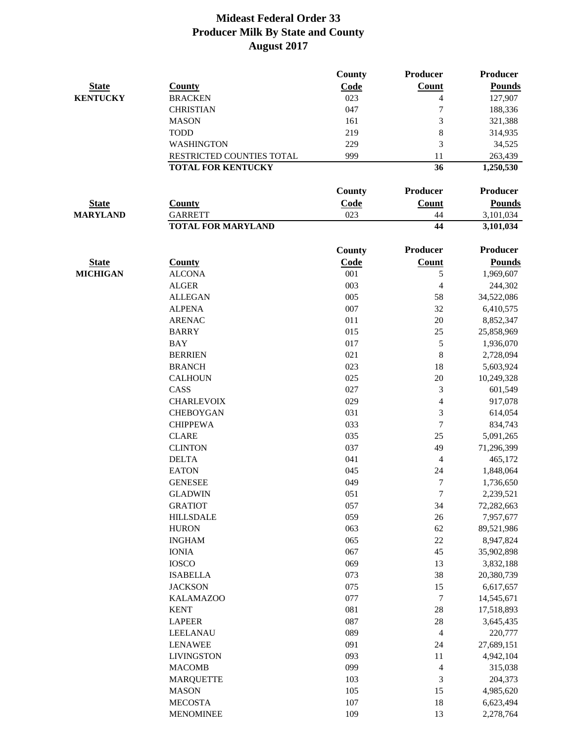|                 |                           | <b>County</b> | Producer                 | <b>Producer</b> |
|-----------------|---------------------------|---------------|--------------------------|-----------------|
| <b>State</b>    | <b>County</b>             | Code          | Count                    | <b>Pounds</b>   |
| <b>KENTUCKY</b> | <b>BRACKEN</b>            | 023           | 4                        | 127,907         |
|                 | <b>CHRISTIAN</b>          | 047           | $\overline{7}$           | 188,336         |
|                 | <b>MASON</b>              | 161           | 3                        | 321,388         |
|                 | <b>TODD</b>               | 219           | 8                        | 314,935         |
|                 | WASHINGTON                | 229           | 3                        | 34,525          |
|                 | RESTRICTED COUNTIES TOTAL | 999           | 11                       | 263,439         |
|                 | <b>TOTAL FOR KENTUCKY</b> |               | 36                       | 1,250,530       |
|                 |                           |               |                          |                 |
|                 |                           | <b>County</b> | Producer                 | <b>Producer</b> |
| <b>State</b>    | <b>County</b>             | Code          | <b>Count</b>             | <b>Pounds</b>   |
| <b>MARYLAND</b> | <b>GARRETT</b>            | 023           | 44                       | 3,101,034       |
|                 | <b>TOTAL FOR MARYLAND</b> |               | 44                       | 3,101,034       |
|                 |                           | County        | Producer                 | <b>Producer</b> |
| <b>State</b>    | <b>County</b>             | Code          | Count                    | <b>Pounds</b>   |
| <b>MICHIGAN</b> | <b>ALCONA</b>             | 001           | 5                        | 1,969,607       |
|                 | <b>ALGER</b>              | 003           | $\overline{\mathcal{L}}$ | 244,302         |
|                 | <b>ALLEGAN</b>            | 005           | 58                       | 34,522,086      |
|                 | <b>ALPENA</b>             | 007           | 32                       | 6,410,575       |
|                 | <b>ARENAC</b>             | 011           | $20\,$                   | 8,852,347       |
|                 | <b>BARRY</b>              | 015           | 25                       | 25,858,969      |
|                 | <b>BAY</b>                | 017           | 5                        | 1,936,070       |
|                 | <b>BERRIEN</b>            | 021           | 8                        | 2,728,094       |
|                 | <b>BRANCH</b>             | 023           | 18                       | 5,603,924       |
|                 | <b>CALHOUN</b>            | 025           | $20\,$                   | 10,249,328      |
|                 | CASS                      | 027           | 3                        | 601,549         |
|                 | <b>CHARLEVOIX</b>         | 029           | $\overline{4}$           | 917,078         |
|                 | <b>CHEBOYGAN</b>          | 031           | 3                        |                 |
|                 |                           |               |                          | 614,054         |
|                 | <b>CHIPPEWA</b>           | 033           | 7                        | 834,743         |
|                 | <b>CLARE</b>              | 035           | 25                       | 5,091,265       |
|                 | <b>CLINTON</b>            | 037           | 49                       | 71,296,399      |
|                 | <b>DELTA</b>              | 041           | 4                        | 465,172         |
|                 | <b>EATON</b>              | 045           | 24                       | 1,848,064       |
|                 | <b>GENESEE</b>            | 049           | 7                        | 1,736,650       |
|                 | <b>GLADWIN</b>            | 051           | $\boldsymbol{7}$         | 2,239,521       |
|                 | <b>GRATIOT</b>            | 057           | 34                       | 72,282,663      |
|                 | <b>HILLSDALE</b>          | 059           | $26\,$                   | 7,957,677       |
|                 | <b>HURON</b>              | 063           | $62\,$                   | 89,521,986      |
|                 | <b>INGHAM</b>             | 065           | $22\,$                   | 8,947,824       |
|                 | <b>IONIA</b>              | 067           | 45                       | 35,902,898      |
|                 | <b>IOSCO</b>              | 069           | 13                       | 3,832,188       |
|                 | <b>ISABELLA</b>           | 073           | 38                       | 20,380,739      |
|                 | <b>JACKSON</b>            | 075           | 15                       | 6,617,657       |
|                 | <b>KALAMAZOO</b>          | 077           | $\overline{7}$           | 14,545,671      |
|                 | <b>KENT</b>               | 081           | $28\,$                   | 17,518,893      |
|                 | <b>LAPEER</b>             | 087           | 28                       | 3,645,435       |
|                 | LEELANAU                  | 089           | 4                        | 220,777         |
|                 | <b>LENAWEE</b>            | 091           | 24                       | 27,689,151      |
|                 | <b>LIVINGSTON</b>         | 093           | 11                       | 4,942,104       |
|                 | <b>MACOMB</b>             | 099           | $\overline{\mathcal{L}}$ | 315,038         |
|                 | <b>MARQUETTE</b>          | 103           | 3                        | 204,373         |
|                 | <b>MASON</b>              | 105           | 15                       | 4,985,620       |
|                 | <b>MECOSTA</b>            | 107           | 18                       | 6,623,494       |
|                 | <b>MENOMINEE</b>          | 109           | 13                       | 2,278,764       |
|                 |                           |               |                          |                 |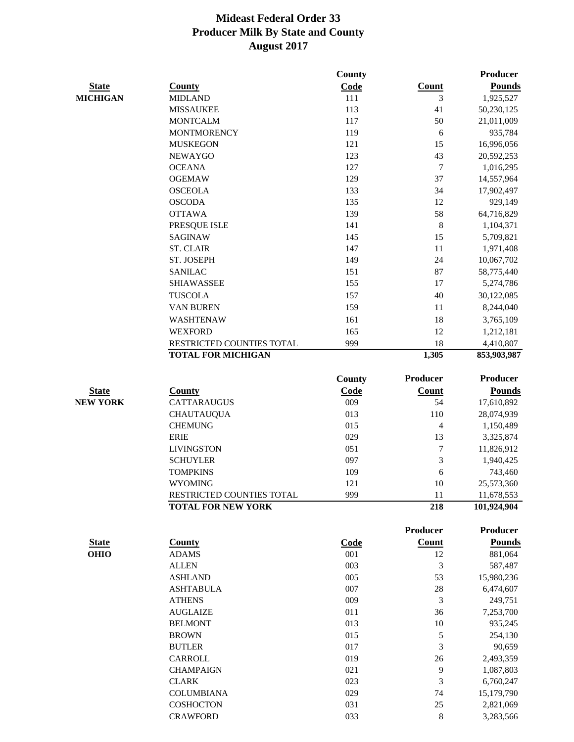|                             |                              | <b>County</b>      |                 | <b>Producer</b> |
|-----------------------------|------------------------------|--------------------|-----------------|-----------------|
| <b>State</b>                | <b>County</b>                | Code               | <b>Count</b>    | <b>Pounds</b>   |
| <b>MICHIGAN</b>             | <b>MIDLAND</b>               | 111                | 3               | 1,925,527       |
|                             | <b>MISSAUKEE</b>             | 113                | 41              | 50,230,125      |
|                             | <b>MONTCALM</b>              | 117                | 50              | 21,011,009      |
|                             | <b>MONTMORENCY</b>           | 119                | 6               | 935,784         |
|                             | <b>MUSKEGON</b>              | 121                | 15              | 16,996,056      |
|                             | <b>NEWAYGO</b>               | 123                | 43              | 20,592,253      |
|                             | <b>OCEANA</b>                | 127                | 7               | 1,016,295       |
|                             | <b>OGEMAW</b>                | 129                | 37              | 14,557,964      |
|                             | <b>OSCEOLA</b>               | 133                | 34              | 17,902,497      |
|                             | <b>OSCODA</b>                | 135                | 12              | 929,149         |
|                             | <b>OTTAWA</b>                | 139                | 58              | 64,716,829      |
|                             | PRESQUE ISLE                 | 141                | $\,8\,$         | 1,104,371       |
|                             | <b>SAGINAW</b>               | 145                | 15              | 5,709,821       |
|                             | <b>ST. CLAIR</b>             | 147                | $11\,$          | 1,971,408       |
|                             | ST. JOSEPH                   | 149                | 24              | 10,067,702      |
|                             | <b>SANILAC</b>               | 151                | 87              | 58,775,440      |
|                             | <b>SHIAWASSEE</b>            | 155                | 17              | 5,274,786       |
|                             | <b>TUSCOLA</b>               | 157                | 40              | 30,122,085      |
|                             | VAN BUREN                    | 159                | 11              | 8,244,040       |
|                             | WASHTENAW                    | 161                | 18              | 3,765,109       |
|                             | <b>WEXFORD</b>               | 165                | 12              | 1,212,181       |
|                             | RESTRICTED COUNTIES TOTAL    | 999                | 18              | 4,410,807       |
|                             | <b>TOTAL FOR MICHIGAN</b>    |                    | 1,305           | 853,903,987     |
|                             |                              | <b>County</b>      | <b>Producer</b> | <b>Producer</b> |
| <b>State</b>                | <b>County</b>                | Code               | <b>Count</b>    | <b>Pounds</b>   |
| <b>NEW YORK</b>             | <b>CATTARAUGUS</b>           | 009                | 54              | 17,610,892      |
|                             | <b>CHAUTAUQUA</b>            | 013                | 110             | 28,074,939      |
|                             | <b>CHEMUNG</b>               | 015                | 4               | 1,150,489       |
|                             | <b>ERIE</b>                  | 029                | 13              | 3,325,874       |
|                             | <b>LIVINGSTON</b>            | 051                | 7               | 11,826,912      |
|                             | <b>SCHUYLER</b>              | 097                | 3               | 1,940,425       |
|                             | <b>TOMPKINS</b>              | 109                | 6               | 743,460         |
|                             | <b>WYOMING</b>               | 121                | 10              | 25,573,360      |
|                             | RESTRICTED COUNTIES TOTAL    | 999                | 11              | 11,678,553      |
|                             | <b>TOTAL FOR NEW YORK</b>    |                    | 218             | 101,924,904     |
|                             |                              |                    | <b>Producer</b> | Producer        |
|                             |                              |                    | <b>Count</b>    | <b>Pounds</b>   |
| <b>State</b><br><b>OHIO</b> | <b>County</b>                | <b>Code</b><br>001 | 12              | 881,064         |
|                             | <b>ADAMS</b><br><b>ALLEN</b> | 003                | 3               |                 |
|                             |                              | 005                |                 | 587,487         |
|                             | <b>ASHLAND</b>               | 007                | 53              | 15,980,236      |
|                             | <b>ASHTABULA</b>             |                    | 28              | 6,474,607       |
|                             | <b>ATHENS</b>                | 009                | 3               | 249,751         |
|                             | <b>AUGLAIZE</b>              | 011                | 36              | 7,253,700       |
|                             | <b>BELMONT</b>               | 013                | 10              | 935,245         |
|                             | <b>BROWN</b>                 | 015                | 5               | 254,130         |
|                             | <b>BUTLER</b>                | 017                | 3               | 90,659          |
|                             | CARROLL                      | 019                | 26              | 2,493,359       |
|                             | <b>CHAMPAIGN</b>             | 021                | 9               | 1,087,803       |
|                             | <b>CLARK</b>                 | 023                | 3               | 6,760,247       |
|                             | <b>COLUMBIANA</b>            | 029                | 74<br>25        | 15,179,790      |
|                             | COSHOCTON                    | 031                |                 | 2,821,069       |

CRAWFORD 033 8 3,283,566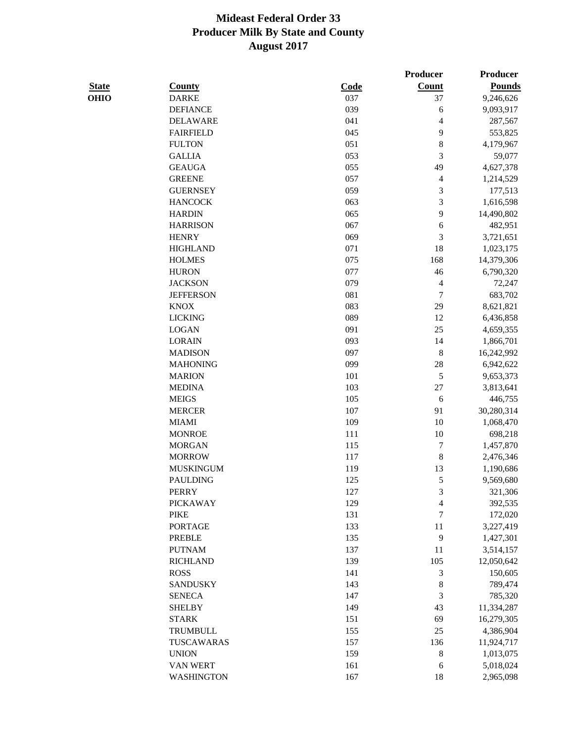|              |                                 |      | Producer                | Producer               |
|--------------|---------------------------------|------|-------------------------|------------------------|
| <b>State</b> | <b>County</b>                   | Code | Count                   | <b>Pounds</b>          |
| <b>OHIO</b>  | <b>DARKE</b>                    | 037  | 37                      | 9,246,626              |
|              | <b>DEFIANCE</b>                 | 039  | 6                       | 9,093,917              |
|              | <b>DELAWARE</b>                 | 041  | 4                       | 287,567                |
|              | <b>FAIRFIELD</b>                | 045  | 9                       | 553,825                |
|              | <b>FULTON</b>                   | 051  | $\,8$                   | 4,179,967              |
|              | <b>GALLIA</b>                   | 053  | 3                       | 59,077                 |
|              | <b>GEAUGA</b>                   | 055  | 49                      | 4,627,378              |
|              | <b>GREENE</b>                   | 057  | 4                       | 1,214,529              |
|              | <b>GUERNSEY</b>                 | 059  | $\mathfrak{Z}$          | 177,513                |
|              | <b>HANCOCK</b>                  | 063  | $\mathfrak{Z}$          | 1,616,598              |
|              | <b>HARDIN</b>                   | 065  | 9                       | 14,490,802             |
|              | <b>HARRISON</b>                 | 067  | 6                       | 482,951                |
|              | <b>HENRY</b>                    | 069  | 3                       | 3,721,651              |
|              | <b>HIGHLAND</b>                 | 071  | 18                      | 1,023,175              |
|              | <b>HOLMES</b>                   | 075  | 168                     | 14,379,306             |
|              | <b>HURON</b>                    | 077  | 46                      | 6,790,320              |
|              | <b>JACKSON</b>                  | 079  | $\overline{\mathbf{4}}$ | 72,247                 |
|              | <b>JEFFERSON</b>                | 081  | $\boldsymbol{7}$        | 683,702                |
|              | <b>KNOX</b>                     | 083  | 29                      | 8,621,821              |
|              | <b>LICKING</b>                  | 089  | 12                      | 6,436,858              |
|              | <b>LOGAN</b>                    | 091  | 25                      | 4,659,355              |
|              | <b>LORAIN</b>                   | 093  | 14                      | 1,866,701              |
|              | <b>MADISON</b>                  | 097  | $\,8\,$                 | 16,242,992             |
|              | <b>MAHONING</b>                 | 099  | $28\,$                  | 6,942,622              |
|              | <b>MARION</b>                   | 101  | 5                       | 9,653,373              |
|              | <b>MEDINA</b>                   | 103  | $27\,$                  | 3,813,641              |
|              | <b>MEIGS</b>                    | 105  | 6                       | 446,755                |
|              | <b>MERCER</b>                   | 107  | 91                      | 30,280,314             |
|              | <b>MIAMI</b>                    | 109  | 10                      | 1,068,470              |
|              | <b>MONROE</b>                   | 111  | 10                      | 698,218                |
|              | <b>MORGAN</b>                   | 115  | $\boldsymbol{7}$        | 1,457,870              |
|              | <b>MORROW</b>                   | 117  | 8                       |                        |
|              | <b>MUSKINGUM</b>                | 119  | 13                      | 2,476,346<br>1,190,686 |
|              | <b>PAULDING</b>                 | 125  | 5                       |                        |
|              |                                 |      |                         | 9,569,680              |
|              | <b>PERRY</b><br><b>PICKAWAY</b> | 127  | 3                       | 321,306                |
|              |                                 | 129  | 4                       | 392,535                |
|              | <b>PIKE</b>                     | 131  | 7<br>11                 | 172,020                |
|              | <b>PORTAGE</b>                  | 133  |                         | 3,227,419              |
|              | <b>PREBLE</b>                   | 135  | $\overline{9}$          | 1,427,301              |
|              | <b>PUTNAM</b>                   | 137  | 11                      | 3,514,157              |
|              | <b>RICHLAND</b>                 | 139  | 105                     | 12,050,642             |
|              | <b>ROSS</b>                     | 141  | $\mathfrak{Z}$          | 150,605                |
|              | <b>SANDUSKY</b>                 | 143  | $\,8\,$                 | 789,474                |
|              | <b>SENECA</b>                   | 147  | 3                       | 785,320                |
|              | <b>SHELBY</b>                   | 149  | 43                      | 11,334,287             |
|              | <b>STARK</b>                    | 151  | 69                      | 16,279,305             |
|              | <b>TRUMBULL</b>                 | 155  | 25                      | 4,386,904              |
|              | TUSCAWARAS                      | 157  | 136                     | 11,924,717             |
|              | <b>UNION</b>                    | 159  | $\,8$                   | 1,013,075              |
|              | VAN WERT                        | 161  | 6                       | 5,018,024              |
|              | <b>WASHINGTON</b>               | 167  | 18                      | 2,965,098              |